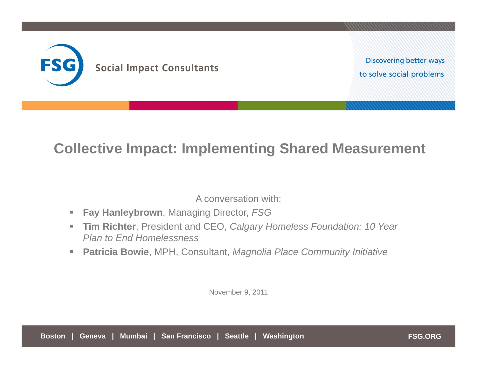

**Discovering better ways** to solve social problems

## **Collective Impact: Implementing Shared Measurement**

A conversation with:

- $\overline{\phantom{a}}$ **Fay Hanleybrown**, Managing Director, *FSG*
- $\blacksquare$  **Tim Richter**, President and CEO, *Calgary Homeless Foundation: 10 Year Plan to End Homelessness*
- $\mathcal{L}_{\mathcal{A}}$ **Patricia Bowie**, MPH, Consultant, *Magnolia Place Community Initiative*

November 9, 2011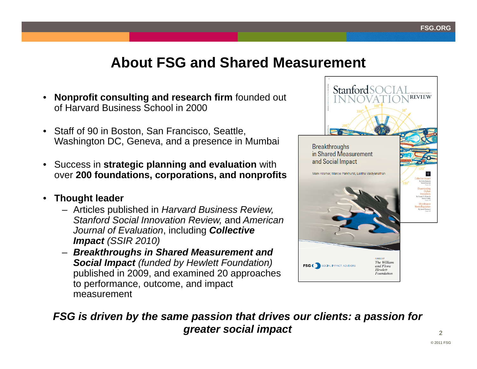## **About FSG and Shared Measurement**

- **Nonprofit consulting and research firm** founded out of Harvard Business School in 2000
- Staff of 90 in Boston, San Francisco, Seattle, Washington DC, Geneva, and a presence in Mumbai
- $\bullet$  Success in **strategic planning and evaluation** with over **200 foundations, corporations, and nonprofits**
- $\bullet$  **Thought leader**
	- Articles published in *Harvard Business Review, Stanford Social Innovation Review,* and *American Journal of Evaluation*, including *Collective Impact (SSIR 2010)*
	- *Breakthroughs in Shared Measurement and Social Impact (funded by Hewlett Foundation)* published in 2009, and examined 20 approaches to performance, outcome, and impact measurement



#### *FSG is driven by the same passion that drives our clients: a passion for greater social impact*

2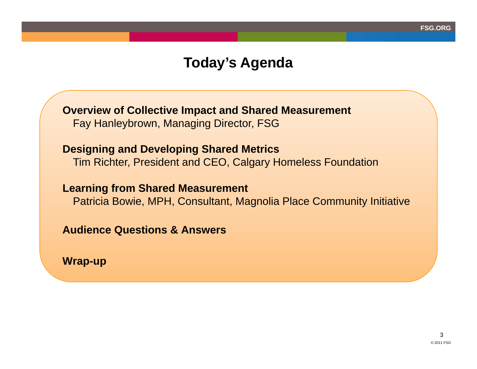## **Today's Agenda**

**Overview of Collective Impact and Shared Measurement** Fay Hanleybrown, Managing Director, FSG

## **Designing and Developing Shared Metrics**

Tim Richter, President and CEO, Calgary Homeless Foundation

#### **Learning from Shared Measurement**

Patricia Bowie, MPH, Consultant, Magnolia Place Community Initiative

**Audience Questions & Answers** 

**Wrap-up**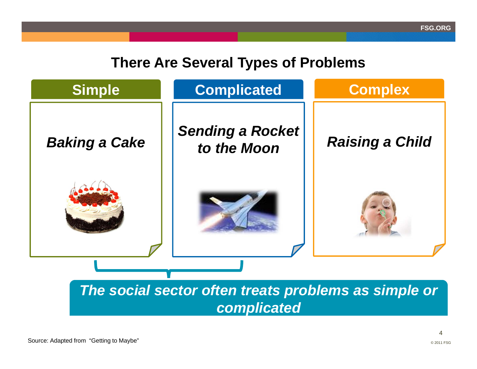## **There Are Several Types of Problems**

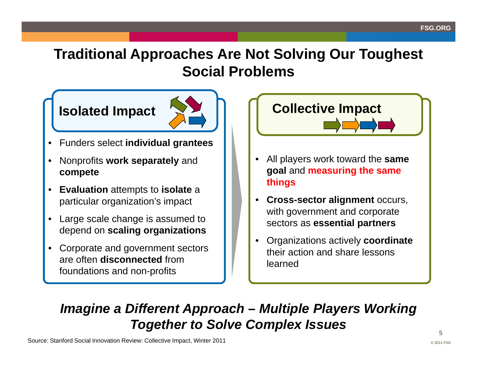## **Traditional Approaches Are Not Solving Our Toughest Social Problems**

## **Isolated Impact**



- $\bullet$ Funders select **individual grantees**
- $\bullet$  Nonprofits **work separately** and **compete**
- **Evaluation** attempts to **isolate** <sup>a</sup> particular organization's impact
- Large scale change is assumed to depend on **scaling organizations**
- • Corporate and government sectors are often **disconnected** from foundations and non-profits

# **Collective Impact**

- • All players work toward the **same goal** and **measuring the same things**
- • **Cross-sector alignment** occurs, with government and corporate sectors as **essential partners**
- • Organizations actively **coordinate** their action and share lessons learned

## *Imagine a Different Approach – Multiple Players Working Together to Solve Complex Issues*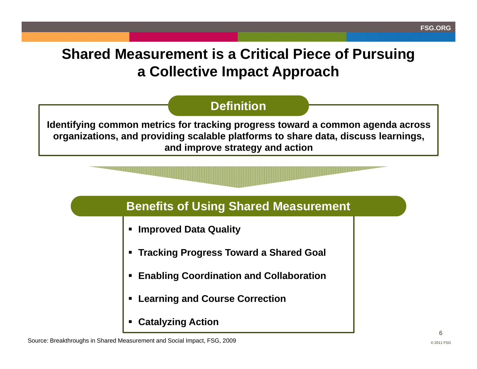## **Shared Measurement is a Critical Piece of Pursuing a Collective Impact Approach**

## **Definition**

**Identifying common metrics for tracking progress toward a common agenda across organizations, and providing scalable platforms to share data, discuss learnings, and improve strategy and action**



- **Improved Data Quality**
- **Tracking Progress Toward a Shared Goal**
- $\blacksquare$ **Enabling Coordination and Collaboration**
- **Learning and Course Correction**
- **Catalyzing Action**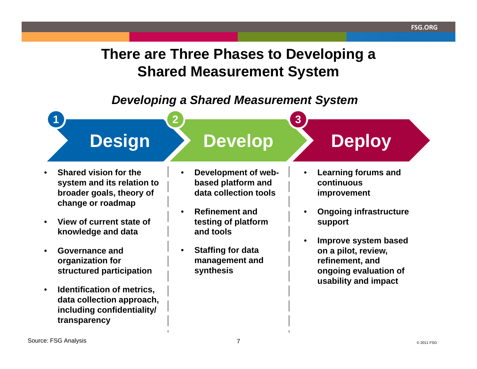## **There are Three Phases to Developing a Shared Measurement System**

### *Developing a Shared Measurement System*



- • **Shared vision for the system and its relation to broader goals, theory of change or roadmap**
- • **View of current state of knowledge and data**
- • **Governance and organization for structured participation**
- • **Identification of metrics, data collection approach, including confidentiality/ transparency**

• **Development of webbased platform and data collection tools**

- • **Refinement and testing of platform and tools**
- • **Staffing for data management and synthesis**
- • **Learning forums and continuous improvement**
- • **Ongoing infrastructure support**
- • **Improve system based on a pilot, review, refinement, and ongoing evaluation of usability and impact**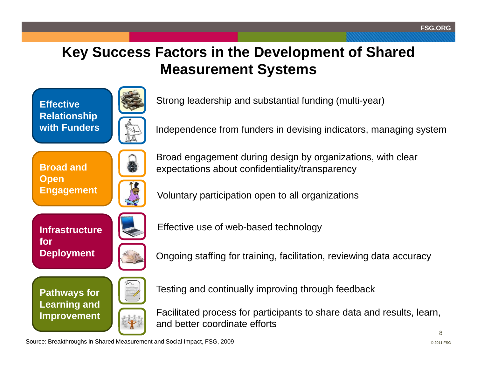# **Key Success Factors in the Development of Shared Measurement Systems**

**Effective Relationship with Funders**



Strong leadership and substantial funding (multi-year)

Independence from funders in devising indicators, managing system

**Broad and Open Engagement**



Broad engagement during design by organizations, with clear expectations about confidentiality/transparency

Voluntary participation open to all organizations

**Infrastructure for Deployment**



**Pathways for Learning and Improvement**



Effective use of web-based technology

Ongoing staffing for training, facilitation, reviewing data accuracy

Testing and continually improving through feedback

Facilitated process for participants to share data and results, learn, and better coordinate efforts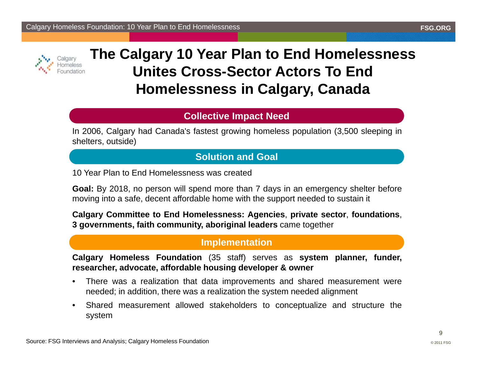



## **The Calgary 10 Year Plan to End Homelessness Unites Cross-Sector Actors To End Homelessness in Calgary, Canada**

#### **Collective Impact Need**

In 2006, Calgary had Canada's fastest growing homeless population (3,500 sleeping in shelters, outside)

#### **Solution and Goal**

10 Year Plan to End Homelessness was created

**Goal:** By 2018, no person will spend more than 7 days in an emergency shelter before moving into <sup>a</sup> safe, decent affordable home with the support needed to sustain it

**Calgary Committee to End Homelessness: Agencies**, **private sector**, **foundations**, **3 governments, faith community, aboriginal leaders** came together

#### **Implementation**

**Calgary Homeless Foundation** (35 staff) serves as **system planner, funder, researcher, advocate, affordable housing developer & owner**

- • There was <sup>a</sup> realization that data improvements and shared measurement were needed; in addition, there was <sup>a</sup> realization the system needed alignment
- • Shared measurement allowed stakeholders to conceptualize and structure the system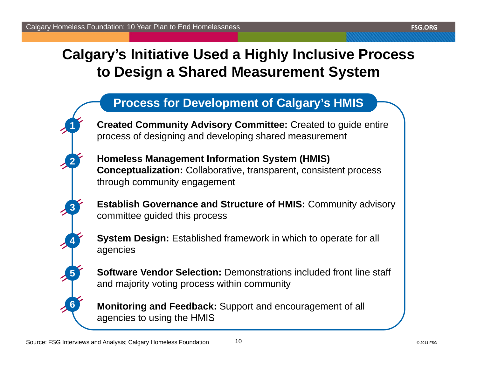## **Calgary's Initiative Used a Highly Inclusive Process to Design a Shared Measurement System**

## **Process for Development of Calgary's HMIS**

**Created Community Advisory Committee:** Created to guide entire process of designing and developing shared measurement

**Homeless Management Information System (HMIS) Conceptualization:** Collaborative, transparent, consistent process through community engagement

**Establish Governance and Structure of HMIS:** Community advisory committee guided this process

**System Design: Established framework in which to operate for all** agencies

**Software Vendor Selection:** Demonstrations included front line staff and majority voting process within community

**Monitoring and Feedback:** Support and encouragement of all agencies to using the HMIS

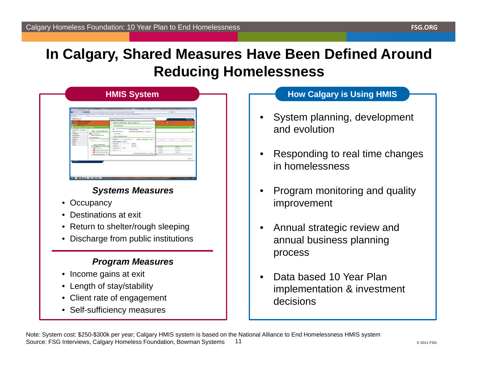## **In Calgary, Shared Measures Have Been Defined Around Reducing Homelessness**

| a GM Sino Hatro Bostown Cock 1944<br><b>MARTINER</b><br><b>&amp; Clear Fords</b>                                                                                                                                                                                                                                                                                                                                                                                                                                                                     | Georg Sand as Lead Houling PT Service - Generals of Capes of Line-Insurance Cordinal - Inspections as Engine Hold San A @ ETChologie Legi-                                                                                                                                                                                                                                                                                                                                                                                                                                                                                               | On Miller                                                                                                                                                            |
|------------------------------------------------------------------------------------------------------------------------------------------------------------------------------------------------------------------------------------------------------------------------------------------------------------------------------------------------------------------------------------------------------------------------------------------------------------------------------------------------------------------------------------------------------|------------------------------------------------------------------------------------------------------------------------------------------------------------------------------------------------------------------------------------------------------------------------------------------------------------------------------------------------------------------------------------------------------------------------------------------------------------------------------------------------------------------------------------------------------------------------------------------------------------------------------------------|----------------------------------------------------------------------------------------------------------------------------------------------------------------------|
| <b>SERVICTIONIS</b><br><b>Colgary Training Site</b><br>Training Foundation<br><b>ClientPoint &gt; Client Profile</b><br>a Last Vietnal  Fassafies<br>Client - mouse, mickey (13)<br>-<br><b>Climathylet</b><br>C mone, michey (31)<br><b>Reference of Industrialism: None</b><br><b>BesourcePoint</b><br><b>ShelterPoint</b><br><b>Client Information</b><br><b>Houston</b><br><b>Bankroom</b><br><b>Beganits</b><br><b>Admin</b><br><b>Bulgary of Information</b><br>Lagest<br>Provider<br><b>Q</b> Brenda's House<br>C Emergency Families Template | ۵<br>Release of Information<br>Release of Information - (mosse, mickey 13)<br><b>Household Members</b><br>To include Household Mondays for this Belease of Information, click the bear<br>۰<br>beside each came.<br>Hoppelscht #1 Manders:<br>Clark All muselved Herbert  Clear All<br><b>Casuas, news</b><br><b>Beleave of belormation thats</b><br>Provider*<br>Training Foundation (3)<br>Check C. Hybride C. Our J.<br>Client Profile<br><b>Belease Granted * Colour 1 1</b><br>BL ( KF / 2011)<br><b>838</b><br><b>Shart Date</b> *<br><b>858</b><br><b>Kod Rate *</b><br>×<br>٠<br>$-5$ advers 3<br>Documentation<br><b>Miller</b> | e e<br>ъ<br>Cana Plans<br><b>STATISTICS</b><br>Assessments<br><b>End Date</b><br><b>Start Date</b><br><b>BUSINESS</b><br><b>BUSINESS</b><br>65/16/2011<br>01/10/2012 |
| <b>Ca</b> Transitional Singles Template<br>AAI halease of telemation.                                                                                                                                                                                                                                                                                                                                                                                                                                                                                | Says Rebuse of Information   Cancel                                                                                                                                                                                                                                                                                                                                                                                                                                                                                                                                                                                                      | 13/16/2010<br>EDITOR/DECK<br>u.<br>11.60                                                                                                                             |

#### *Systems Measures*

- Occupancy
- •Destinations at exit
- Return to shelter/rough sleeping
- •Discharge from public institutions

#### *Program Measures*

- Income gains at exit
- Length of stay/stability
- Client rate of engagement
- Self-sufficiency measures

#### **How Calgary is Using HMIS**

- • System planning, development and evolution
- • Responding to real time changes in homelessness
- • Program monitoring and quality improvement
- • Annual strategic review and annual business planning process
- • Data based 10 Year Plan implementation & investment decisions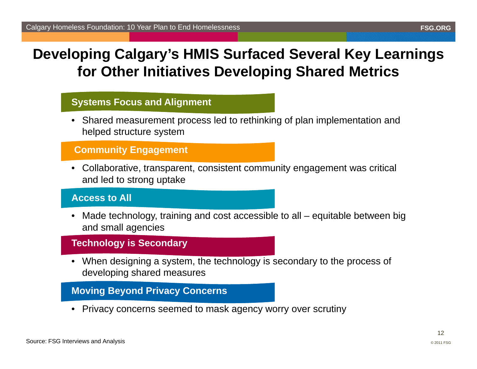## **Developing Calgary's HMIS Surfaced Several Key Learnings for Other Initiatives Developing Shared Metrics**

#### **Systems Focus and Alignment**

• Shared measurement process led to rethinking of plan implementation and helped structure system

#### **Community Engagement**

• Collaborative, transparent, consistent community engagement was critical and led to strong uptake

#### **Access to All**

• Made technology, training and cost accessible to all – equitable between big and small agencies

#### **Technology is Secondary**

• When designing a system, the technology is secondary to the process of developing shared measures

#### **Moving Beyond Privacy Concerns**

• Privacy concerns seemed to mask agency worry over scrutiny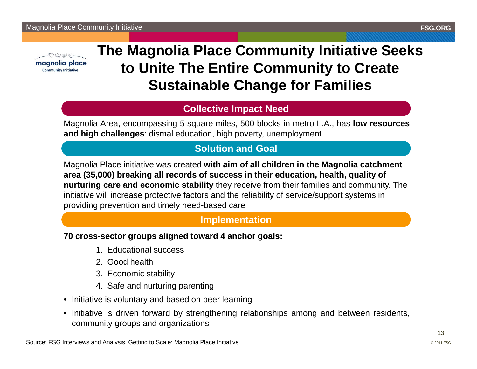

# **The Magnolia Place Community Initiative Seeks to Unite The Entire Community to Create Sustainable Change for Families**

#### **Collective Impact Need**

Magnolia Area, encompassing 5 square miles, 500 blocks in metro L.A., has **low resources and high challenges**: dismal education, high poverty, unemployment

#### **Solution and Goal**

Magnolia Place initiative was created **with aim of all children in the Magnolia catchment area (35,000) breaking all records of success in their education, health, quality of nurturing care and economic stability** they receive from their families and community. The initiative will increase protective factors and the reliability of service/support systems in providing prevention and timely need-based care

#### **Implementation**

#### **70 cross-sector groups aligned toward 4 anchor goals:**

- 1. Educational success
- 2. Good health
- 3. Economic stability
- 4. Safe and nurturing parenting
- Initiative is voluntary and based on peer learning
- Initiative is driven forward by strengthening relationships among and between residents, community groups and organizations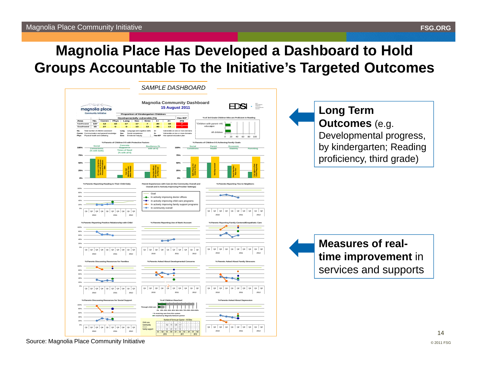## **Magnolia Place Has Developed a Dashboard to Hold Groups Accountable To the Initiative's Targeted Outcomes**



Source: Magnolia Place Community Initiative

14© 2011 FSG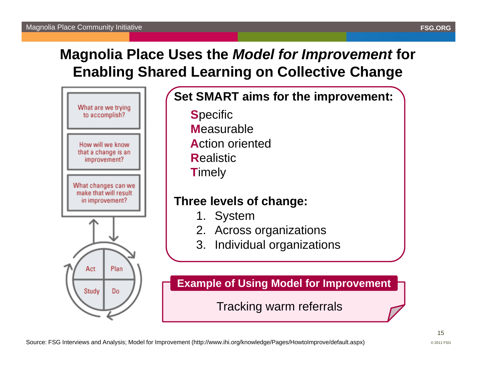# **Magnolia Place Uses the** *Model for Improvement* **for Enabling Shared Learning on Collective Change**



# **Set SMART aims for the improvement:**

**S**pecific **M**easurable**A**ction oriented**R**ealistic**T**imely

## **Three levels of change:**

- 1. System
- 2. Across organizations
- 3. Individual organizations

**Example of Using Model for Improvement**

Tracking warm referrals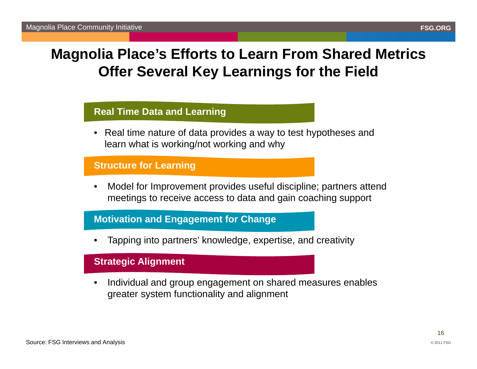## **Magnolia Place's Efforts to Learn From Shared Metrics Offer Several Key Learnings for the Field**

#### **Real Time Data and Learning**

• Real time nature of data provides a way to test hypotheses and learn what is working/not working and why

#### **Structure for Learning**

• Model for Improvement provides useful discipline; partners attend meetings to receive access to data and gain coaching support

#### **Motivation and Engagement for Change**

•Tapping into partners' knowledge, expertise, and creativity

#### **Strategic Alignment**

• Individual and group engagement on shared measures enables greater system functionality and alignment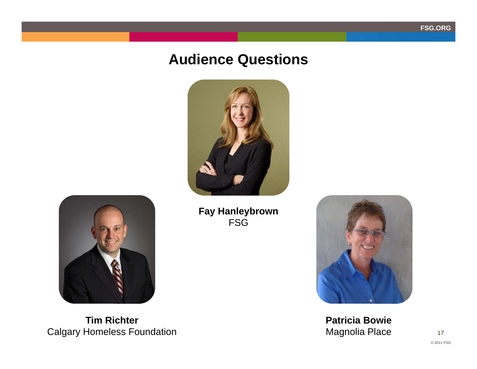## **Audience Questions**





**Tim Richter** Calgary Homeless Foundation **Fay Hanleybrown** FSG



**Patricia Bowie** Magnolia Place

17© 2011 FSG